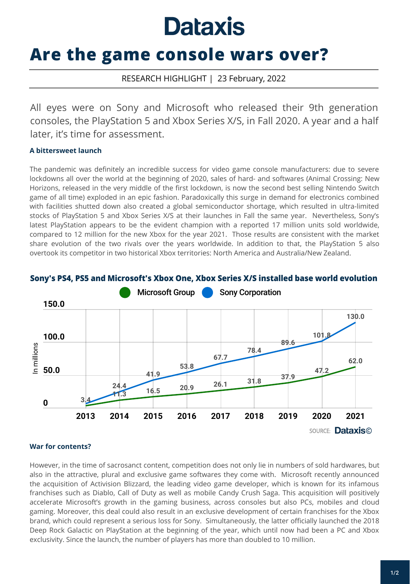# **Dataxis**

## **Are the game console wars over?**

### RESEARCH HIGHLIGHT | 23 February, 2022

All eyes were on Sony and Microsoft who released their 9th generation consoles, the PlayStation 5 and Xbox Series X/S, in Fall 2020. A year and a half later, it's time for assessment.

#### **A bittersweet launch**

The pandemic was definitely an incredible success for video game console manufacturers: due to severe lockdowns all over the world at the beginning of 2020, sales of hard- and softwares (Animal Crossing: New Horizons, released in the very middle of the first lockdown, is now the second best selling Nintendo Switch game of all time) exploded in an epic fashion. Paradoxically this surge in demand for electronics combined with facilities shutted down also created a global semiconductor shortage, which resulted in ultra-limited stocks of PlayStation 5 and Xbox Series X/S at their launches in Fall the same year. Nevertheless, Sony's latest PlayStation appears to be the evident champion with a reported 17 million units sold worldwide, compared to 12 million for the new Xbox for the year 2021. Those results are consistent with the market share evolution of the two rivals over the years worldwide. In addition to that, the PlayStation 5 also overtook its competitor in two historical Xbox territories: North America and Australia/New Zealand.





#### **War for contents?**

However, in the time of sacrosanct content, competition does not only lie in numbers of sold hardwares, but also in the attractive, plural and exclusive game softwares they come with. Microsoft recently announced the acquisition of Activision Blizzard, the leading video game developer, which is known for its infamous franchises such as Diablo, Call of Duty as well as mobile Candy Crush Saga. This acquisition will positively accelerate Microsoft's growth in the gaming business, across consoles but also PCs, mobiles and cloud gaming. Moreover, this deal could also result in an exclusive development of certain franchises for the Xbox brand, which could represent a serious loss for Sony. Simultaneously, the latter officially launched the 2018 Deep Rock Galactic on PlayStation at the beginning of the year, which until now had been a PC and Xbox exclusivity. Since the launch, the number of players has more than doubled to 10 million.